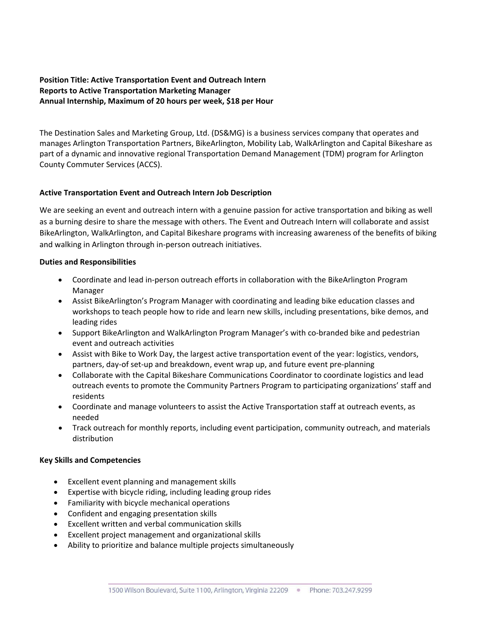# **Position Title: Active Transportation Event and Outreach Intern Reports to Active Transportation Marketing Manager Annual Internship, Maximum of 20 hours per week, \$18 per Hour**

The Destination Sales and Marketing Group, Ltd. (DS&MG) is a business services company that operates and manages Arlington Transportation Partners, BikeArlington, Mobility Lab, WalkArlington and Capital Bikeshare as part of a dynamic and innovative regional Transportation Demand Management (TDM) program for Arlington County Commuter Services (ACCS).

## **Active Transportation Event and Outreach Intern Job Description**

We are seeking an event and outreach intern with a genuine passion for active transportation and biking as well as a burning desire to share the message with others. The Event and Outreach Intern will collaborate and assist BikeArlington, WalkArlington, and Capital Bikeshare programs with increasing awareness of the benefits of biking and walking in Arlington through in‐person outreach initiatives.

### **Duties and Responsibilities**

- Coordinate and lead in‐person outreach efforts in collaboration with the BikeArlington Program Manager
- Assist BikeArlington's Program Manager with coordinating and leading bike education classes and workshops to teach people how to ride and learn new skills, including presentations, bike demos, and leading rides
- Support BikeArlington and WalkArlington Program Manager's with co-branded bike and pedestrian event and outreach activities
- Assist with Bike to Work Day, the largest active transportation event of the year: logistics, vendors, partners, day‐of set‐up and breakdown, event wrap up, and future event pre‐planning
- Collaborate with the Capital Bikeshare Communications Coordinator to coordinate logistics and lead outreach events to promote the Community Partners Program to participating organizations' staff and residents
- Coordinate and manage volunteers to assist the Active Transportation staff at outreach events, as needed
- Track outreach for monthly reports, including event participation, community outreach, and materials distribution

### **Key Skills and Competencies**

- Excellent event planning and management skills
- Expertise with bicycle riding, including leading group rides
- Familiarity with bicycle mechanical operations
- Confident and engaging presentation skills
- Excellent written and verbal communication skills
- Excellent project management and organizational skills
- Ability to prioritize and balance multiple projects simultaneously